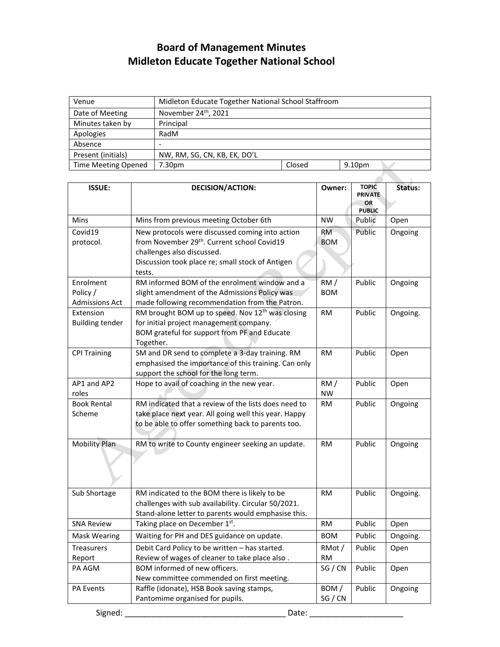## **Board of Management Minutes Midleton Educate Together National School**

| Venue                      | Midleton Educate Together National School Staffroom |        |        |  |  |
|----------------------------|-----------------------------------------------------|--------|--------|--|--|
| Date of Meeting            | November 24 <sup>th</sup> , 2021                    |        |        |  |  |
| Minutes taken by           | Principal                                           |        |        |  |  |
| Apologies                  | RadM                                                |        |        |  |  |
| Absence                    |                                                     |        |        |  |  |
| Present (initials)         | NW, RM, SG, CN, KB, EK, DO'L                        |        |        |  |  |
| <b>Time Meeting Opened</b> | 7.30pm                                              | Closed | 9.10pm |  |  |
|                            |                                                     |        |        |  |  |

| <b>ISSUE:</b>          | <b>DECISION/ACTION:</b>                                                                 | Owner:          | <b>TOPIC</b><br><b>PRIVATE</b> | Status:  |
|------------------------|-----------------------------------------------------------------------------------------|-----------------|--------------------------------|----------|
|                        |                                                                                         |                 | <b>OR</b><br><b>PUBLIC</b>     |          |
| Mins                   | Mins from previous meeting October 6th                                                  | <b>NW</b>       | Public                         | Open     |
| Covid19                | New protocols were discussed coming into action                                         | <b>RM</b>       | Public                         | Ongoing  |
| protocol.              | from November 29th. Current school Covid19                                              | <b>BOM</b>      |                                |          |
|                        | challenges also discussed.                                                              |                 |                                |          |
|                        | Discussion took place re; small stock of Antigen<br>tests.                              |                 |                                |          |
| Enrolment              | RM informed BOM of the enrolment window and a                                           | RM/             | Public                         | Ongoing  |
| Policy /               | slight amendment of the Admissions Policy was                                           | <b>BOM</b>      |                                |          |
| <b>Admissions Act</b>  | made following recommendation from the Patron.                                          |                 |                                |          |
| Extension              | RM brought BOM up to speed. Nov 12 <sup>th</sup> was closing                            | <b>RM</b>       | Public                         | Ongoing. |
| <b>Building tender</b> | for initial project management company.<br>BOM grateful for support from PF and Educate |                 |                                |          |
|                        | Together.                                                                               |                 |                                |          |
| <b>CPI Training</b>    | SM and DR send to complete a 3-day training. RM                                         | <b>RM</b>       | Public                         | Open     |
|                        | emphasised the importance of this training. Can only                                    |                 |                                |          |
|                        | support the school for the long term.                                                   |                 |                                |          |
| AP1 and AP2            | Hope to avail of coaching in the new year.                                              | RM/             | Public                         | Open     |
| roles                  |                                                                                         | <b>NW</b>       |                                |          |
| <b>Book Rental</b>     | RM indicated that a review of the lists does need to                                    | <b>RM</b>       | Public                         | Ongoing  |
| Scheme                 | take place next year. All going well this year. Happy                                   |                 |                                |          |
|                        | to be able to offer something back to parents too.                                      |                 |                                |          |
| <b>Mobility Plan</b>   | RM to write to County engineer seeking an update.                                       | RM.             | Public                         | Ongoing  |
|                        |                                                                                         |                 |                                |          |
| Sub Shortage           | RM indicated to the BOM there is likely to be                                           | RM.             | Public                         | Ongoing. |
|                        | challenges with sub availability. Circular 50/2021.                                     |                 |                                |          |
|                        | Stand-alone letter to parents would emphasise this.                                     |                 |                                |          |
| <b>SNA Review</b>      | Taking place on December 1st.                                                           | RM.             | Public                         | Open     |
| <b>Mask Wearing</b>    | Waiting for PH and DES guidance on update.                                              | <b>BOM</b>      | Public                         | Ongoing. |
| <b>Treasurers</b>      | Debit Card Policy to be written - has started.                                          | RMot/           | Public                         | Open     |
| Report                 | Review of wages of cleaner to take place also.                                          | RM              |                                |          |
| PA AGM                 | BOM informed of new officers.                                                           | SG / CN         | Public                         | Open     |
|                        | New committee commended on first meeting.                                               |                 |                                |          |
| <b>PA Events</b>       | Raffle (idonate), HSB Book saving stamps,                                               | BOM/<br>SG / CN | Public                         | Ongoing  |
|                        | Pantomime organised for pupils.                                                         |                 |                                |          |
| Signed:                | Date:                                                                                   |                 |                                |          |